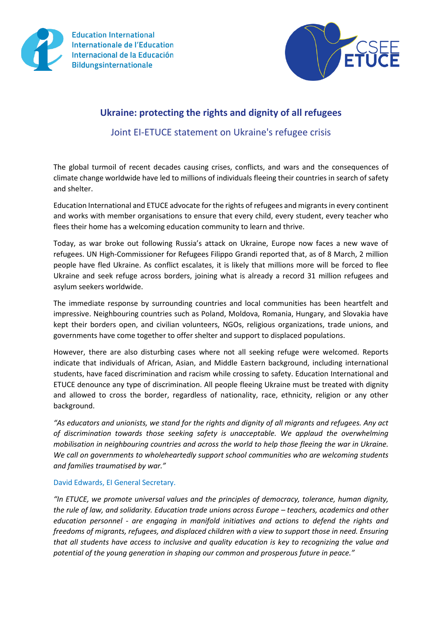



## **Ukraine: protecting the rights and dignity of all refugees**

Joint EI-ETUCE statement on Ukraine's refugee crisis

The global turmoil of recent decades causing crises, conflicts, and wars and the consequences of climate change worldwide have led to millions of individuals fleeing their countries in search of safety and shelter.

Education International and ETUCE advocate for the rights of refugees and migrants in every continent and works with member organisations to ensure that every child, every student, every teacher who flees their home has a welcoming education community to learn and thrive.

Today, as war broke out following Russia's attack on Ukraine, Europe now faces a new wave of refugees. UN High-Commissioner for Refugees Filippo Grandi reported that, as of 8 March, 2 million people have fled Ukraine. As conflict escalates, it is likely that millions more will be forced to flee Ukraine and seek refuge across borders, joining what is already a record 31 million refugees and asylum seekers worldwide.

The immediate response by surrounding countries and local communities has been heartfelt and impressive. Neighbouring countries such as Poland, Moldova, Romania, Hungary, and Slovakia have kept their borders open, and civilian volunteers, NGOs, religious organizations, trade unions, and governments have come together to offer shelter and support to displaced populations.

However, there are also disturbing cases where not all seeking refuge were welcomed. Reports indicate that individuals of African, Asian, and Middle Eastern background, including international students, have faced discrimination and racism while crossing to safety. Education International and ETUCE denounce any type of discrimination. All people fleeing Ukraine must be treated with dignity and allowed to cross the border, regardless of nationality, race, ethnicity, religion or any other background.

*"As educators and unionists, we stand for the rights and dignity of all migrants and refugees. Any act of discrimination towards those seeking safety is unacceptable. We applaud the overwhelming mobilisation in neighbouring countries and across the world to help those fleeing the war in Ukraine. We call on governments to wholeheartedly support school communities who are welcoming students and families traumatised by war."*

## David Edwards, EI General Secretary.

*"In ETUCE, we promote universal values and the principles of democracy, tolerance, human dignity, the rule of law, and solidarity. Education trade unions across Europe – teachers, academics and other education personnel - are engaging in manifold initiatives and actions to defend the rights and freedoms of migrants, refugees, and displaced children with a view to support those in need. Ensuring that all students have access to inclusive and quality education is key to recognizing the value and potential of the young generation in shaping our common and prosperous future in peace."*